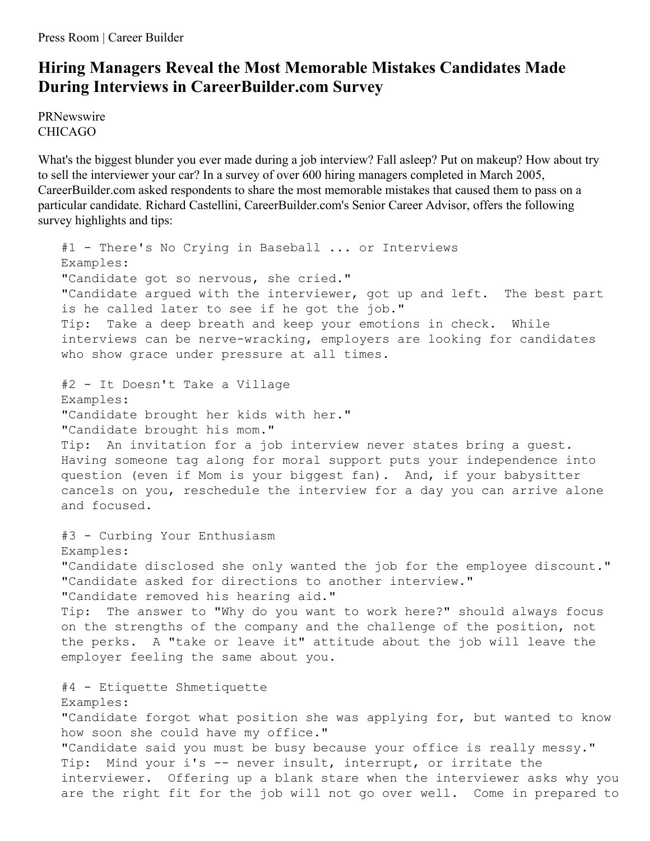Press Room | Career Builder

## **Hiring Managers Reveal the Most Memorable Mistakes Candidates Made During Interviews in CareerBuilder.com Survey**

PRNewswire CHICAGO

What's the biggest blunder you ever made during a job interview? Fall asleep? Put on makeup? How about try to sell the interviewer your car? In a survey of over 600 hiring managers completed in March 2005, CareerBuilder.com asked respondents to share the most memorable mistakes that caused them to pass on a particular candidate. Richard Castellini, CareerBuilder.com's Senior Career Advisor, offers the following survey highlights and tips:

#1 - There's No Crying in Baseball ... or Interviews Examples: "Candidate got so nervous, she cried." "Candidate argued with the interviewer, got up and left. The best part is he called later to see if he got the job." Tip: Take a deep breath and keep your emotions in check. While interviews can be nerve-wracking, employers are looking for candidates who show grace under pressure at all times. #2 - It Doesn't Take a Village Examples: "Candidate brought her kids with her." "Candidate brought his mom." Tip: An invitation for a job interview never states bring a guest. Having someone tag along for moral support puts your independence into question (even if Mom is your biggest fan). And, if your babysitter cancels on you, reschedule the interview for a day you can arrive alone and focused. #3 - Curbing Your Enthusiasm Examples: "Candidate disclosed she only wanted the job for the employee discount." "Candidate asked for directions to another interview." "Candidate removed his hearing aid." Tip: The answer to "Why do you want to work here?" should always focus on the strengths of the company and the challenge of the position, not the perks. A "take or leave it" attitude about the job will leave the employer feeling the same about you. #4 - Etiquette Shmetiquette Examples: "Candidate forgot what position she was applying for, but wanted to know how soon she could have my office." "Candidate said you must be busy because your office is really messy." Tip: Mind your i's -- never insult, interrupt, or irritate the interviewer. Offering up a blank stare when the interviewer asks why you are the right fit for the job will not go over well. Come in prepared to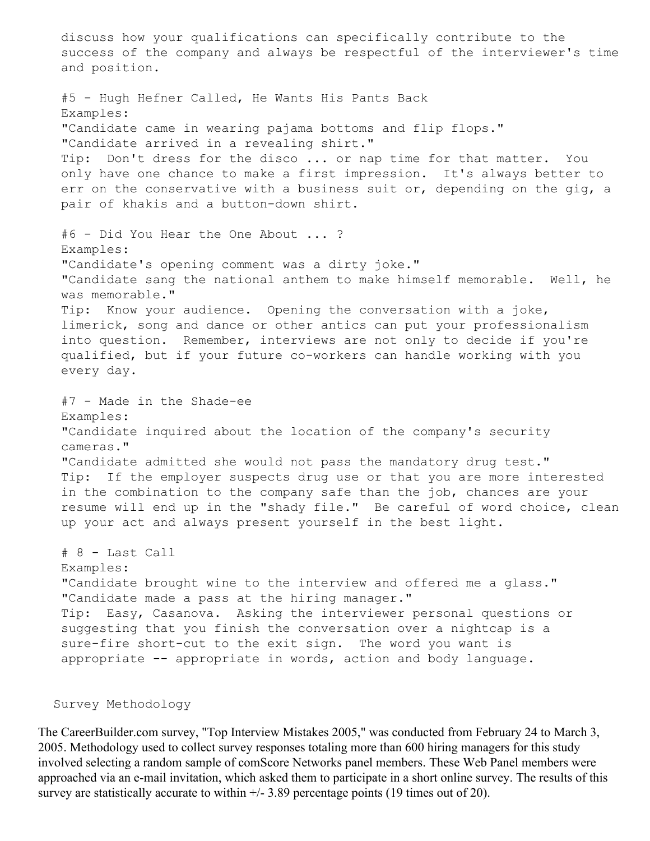discuss how your qualifications can specifically contribute to the success of the company and always be respectful of the interviewer's time and position.

#5 - Hugh Hefner Called, He Wants His Pants Back Examples: "Candidate came in wearing pajama bottoms and flip flops." "Candidate arrived in a revealing shirt." Tip: Don't dress for the disco ... or nap time for that matter. You only have one chance to make a first impression. It's always better to err on the conservative with a business suit or, depending on the gig, a pair of khakis and a button-down shirt. #6 - Did You Hear the One About ... ? Examples: "Candidate's opening comment was a dirty joke." "Candidate sang the national anthem to make himself memorable. Well, he was memorable." Tip: Know your audience. Opening the conversation with a joke, limerick, song and dance or other antics can put your professionalism into question. Remember, interviews are not only to decide if you're qualified, but if your future co-workers can handle working with you every day. #7 - Made in the Shade-ee Examples: "Candidate inquired about the location of the company's security cameras." "Candidate admitted she would not pass the mandatory drug test." Tip: If the employer suspects drug use or that you are more interested in the combination to the company safe than the job, chances are your resume will end up in the "shady file." Be careful of word choice, clean up your act and always present yourself in the best light. # 8 - Last Call Examples: "Candidate brought wine to the interview and offered me a glass." "Candidate made a pass at the hiring manager." Tip: Easy, Casanova. Asking the interviewer personal questions or suggesting that you finish the conversation over a nightcap is a sure-fire short-cut to the exit sign. The word you want is appropriate -- appropriate in words, action and body language.

Survey Methodology

The CareerBuilder.com survey, "Top Interview Mistakes 2005," was conducted from February 24 to March 3, 2005. Methodology used to collect survey responses totaling more than 600 hiring managers for this study involved selecting a random sample of comScore Networks panel members. These Web Panel members were approached via an e-mail invitation, which asked them to participate in a short online survey. The results of this survey are statistically accurate to within  $+/- 3.89$  percentage points (19 times out of 20).